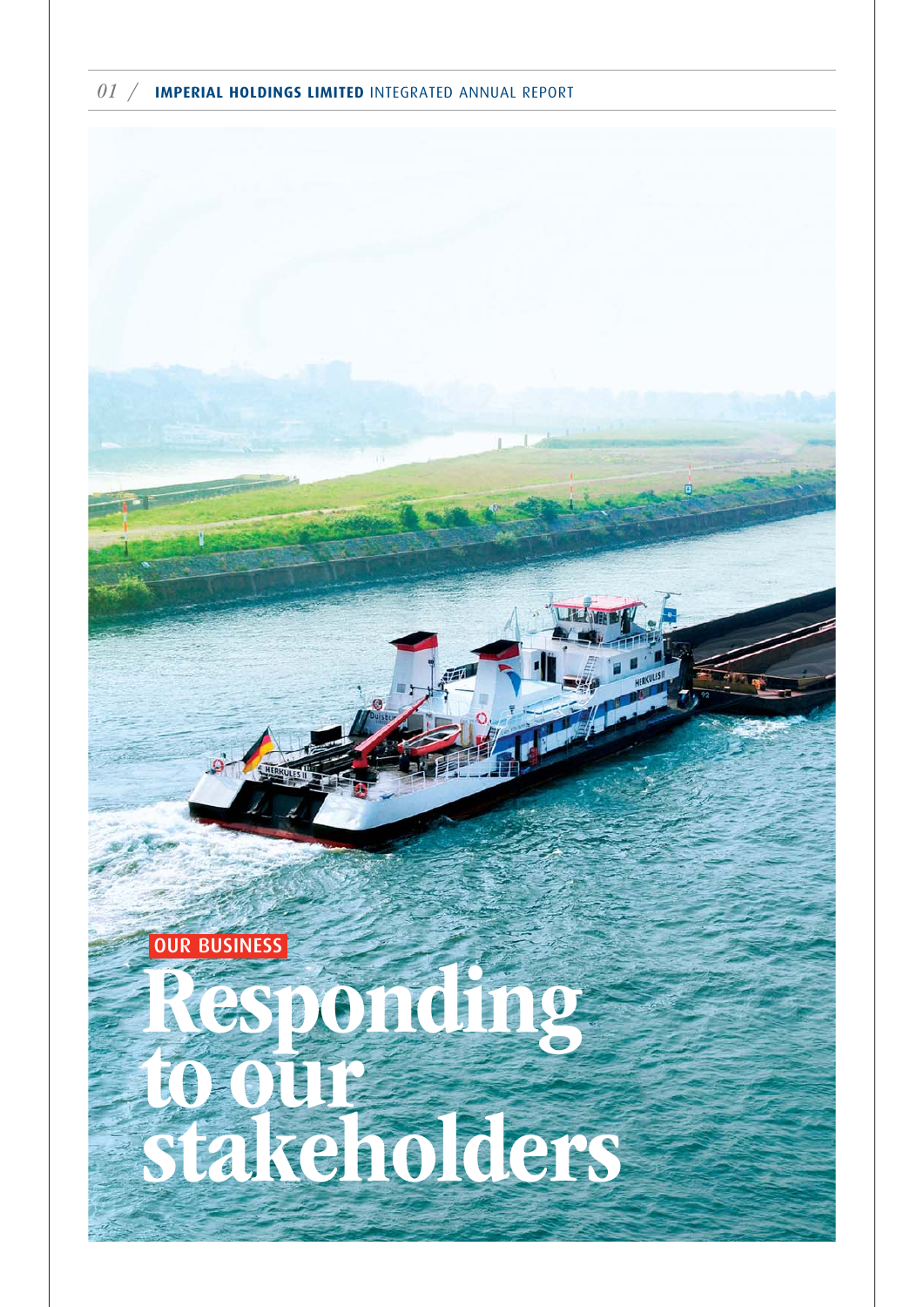

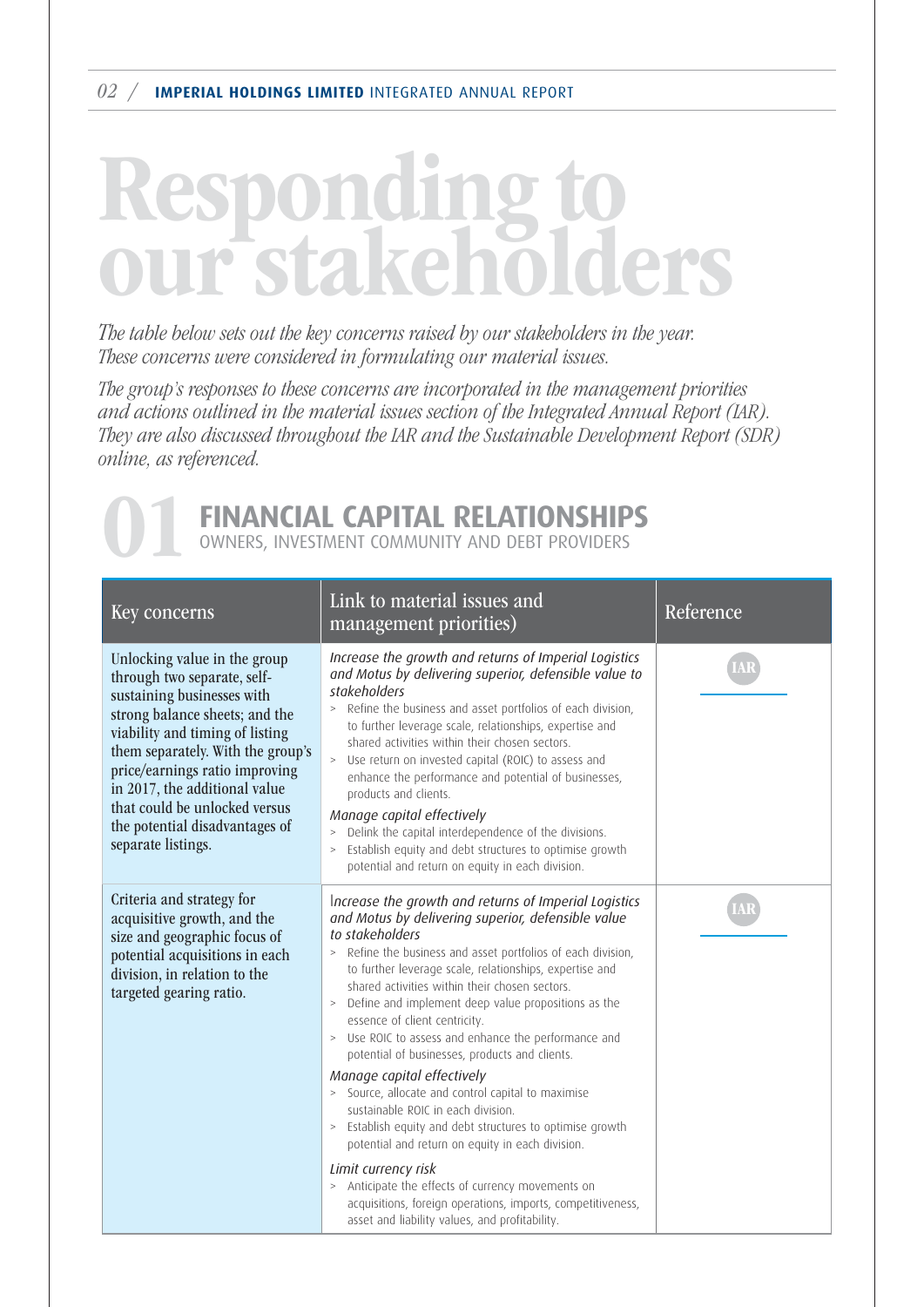#### 02 / **IMPERIAL HOLDINGS LIMITED** INTEGRATED ANNUAL REPORT

### Responding to our stakeholders

The table below sets out the key concerns raised by our stakeholders in the year. These concerns were considered in formulating our material issues.

The group's responses to these concerns are incorporated in the management priorities and actions outlined in the material issues section of the Integrated Annual Report (IAR). They are also discussed throughout the IAR and the Sustainable Development Report (SDR) online, as referenced.



| Key concerns                                                                                                                                                                                                                                                                                                                                                    | Link to material issues and<br>management priorities)                                                                                                                                                                                                                                                                                                                                                                                                                                                                                                                                                                                                                                                | Reference |
|-----------------------------------------------------------------------------------------------------------------------------------------------------------------------------------------------------------------------------------------------------------------------------------------------------------------------------------------------------------------|------------------------------------------------------------------------------------------------------------------------------------------------------------------------------------------------------------------------------------------------------------------------------------------------------------------------------------------------------------------------------------------------------------------------------------------------------------------------------------------------------------------------------------------------------------------------------------------------------------------------------------------------------------------------------------------------------|-----------|
| Unlocking value in the group<br>through two separate, self-<br>sustaining businesses with<br>strong balance sheets; and the<br>viability and timing of listing<br>them separately. With the group's<br>price/earnings ratio improving<br>in 2017, the additional value<br>that could be unlocked versus<br>the potential disadvantages of<br>separate listings. | Increase the growth and returns of Imperial Logistics<br>and Motus by delivering superior, defensible value to<br>stakeholders<br>> Refine the business and asset portfolios of each division,<br>to further leverage scale, relationships, expertise and<br>shared activities within their chosen sectors.<br>> Use return on invested capital (ROIC) to assess and<br>enhance the performance and potential of businesses,<br>products and clients.<br>Manage capital effectively<br>Delink the capital interdependence of the divisions.<br>$\, >$<br>Establish equity and debt structures to optimise growth<br>$\, >$<br>potential and return on equity in each division.                       |           |
| Criteria and strategy for<br>acquisitive growth, and the<br>size and geographic focus of<br>potential acquisitions in each<br>division, in relation to the<br>targeted gearing ratio.                                                                                                                                                                           | Increase the growth and returns of Imperial Logistics<br>and Motus by delivering superior, defensible value<br>to stakeholders<br>Refine the business and asset portfolios of each division,<br>to further leverage scale, relationships, expertise and<br>shared activities within their chosen sectors.<br>> Define and implement deep value propositions as the<br>essence of client centricity.<br>> Use ROIC to assess and enhance the performance and<br>potential of businesses, products and clients.<br>Manage capital effectively<br>> Source, allocate and control capital to maximise<br>sustainable ROIC in each division.<br>> Establish equity and debt structures to optimise growth |           |
|                                                                                                                                                                                                                                                                                                                                                                 | potential and return on equity in each division.<br>Limit currency risk<br>> Anticipate the effects of currency movements on<br>acquisitions, foreign operations, imports, competitiveness,<br>asset and liability values, and profitability.                                                                                                                                                                                                                                                                                                                                                                                                                                                        |           |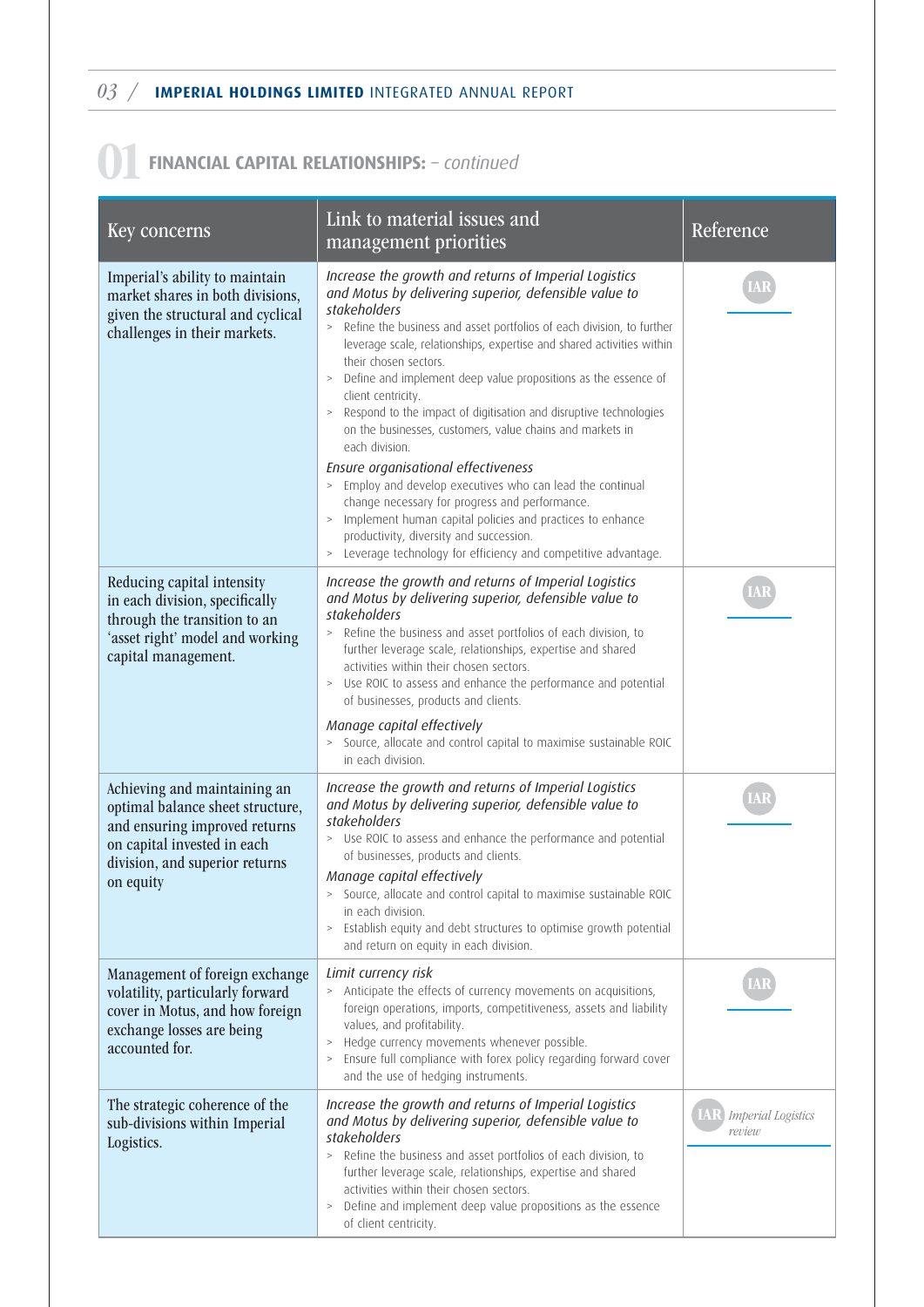03 / **IMPERIAL HOLDINGS LIMITED** INTEGRATED ANNUAL REPORT

### 01**FINANCIAL CAPITAL RELATIONSHIPS:** – *continued*

| Key concerns                                                                                                                                                                    | Link to material issues and<br>management priorities                                                                                                                                                                                                                                                                                                                                                                                                                                                                                                                                                                                                                                                                                                                                                                                                                                                            | Reference                           |
|---------------------------------------------------------------------------------------------------------------------------------------------------------------------------------|-----------------------------------------------------------------------------------------------------------------------------------------------------------------------------------------------------------------------------------------------------------------------------------------------------------------------------------------------------------------------------------------------------------------------------------------------------------------------------------------------------------------------------------------------------------------------------------------------------------------------------------------------------------------------------------------------------------------------------------------------------------------------------------------------------------------------------------------------------------------------------------------------------------------|-------------------------------------|
| Imperial's ability to maintain<br>market shares in both divisions,<br>given the structural and cyclical<br>challenges in their markets.                                         | Increase the growth and returns of Imperial Logistics<br>and Motus by delivering superior, defensible value to<br>stakeholders<br>> Refine the business and asset portfolios of each division, to further<br>leverage scale, relationships, expertise and shared activities within<br>their chosen sectors.<br>Define and implement deep value propositions as the essence of<br>$\, >$<br>client centricity.<br>Respond to the impact of digitisation and disruptive technologies<br>$\, >$<br>on the businesses, customers, value chains and markets in<br>each division.<br>Ensure organisational effectiveness<br>> Employ and develop executives who can lead the continual<br>change necessary for progress and performance.<br>> Implement human capital policies and practices to enhance<br>productivity, diversity and succession.<br>> Leverage technology for efficiency and competitive advantage. |                                     |
| Reducing capital intensity<br>in each division, specifically<br>through the transition to an<br>'asset right' model and working<br>capital management.                          | Increase the growth and returns of Imperial Logistics<br>and Motus by delivering superior, defensible value to<br>stakeholders<br>Refine the business and asset portfolios of each division, to<br>$\, >$<br>further leverage scale, relationships, expertise and shared<br>activities within their chosen sectors.<br>> Use ROIC to assess and enhance the performance and potential<br>of businesses, products and clients.<br>Manage capital effectively<br>> Source, allocate and control capital to maximise sustainable ROIC<br>in each division.                                                                                                                                                                                                                                                                                                                                                         |                                     |
| Achieving and maintaining an<br>optimal balance sheet structure,<br>and ensuring improved returns<br>on capital invested in each<br>division, and superior returns<br>on equity | Increase the growth and returns of Imperial Logistics<br>and Motus by delivering superior, defensible value to<br>stakeholders<br>> Use ROIC to assess and enhance the performance and potential<br>of businesses, products and clients.<br>Manage capital effectively<br>> Source, allocate and control capital to maximise sustainable ROIC<br>in each division.<br>Establish equity and debt structures to optimise growth potential<br>$\, >$<br>and return on equity in each division.                                                                                                                                                                                                                                                                                                                                                                                                                     |                                     |
| Management of foreign exchange<br>volatility, particularly forward<br>cover in Motus, and how foreign<br>exchange losses are being<br>accounted for.                            | Limit currency risk<br>> Anticipate the effects of currency movements on acquisitions,<br>foreign operations, imports, competitiveness, assets and liability<br>values, and profitability.<br>Hedge currency movements whenever possible.<br>$\, >$<br>Ensure full compliance with forex policy regarding forward cover<br>$\, >$<br>and the use of hedging instruments.                                                                                                                                                                                                                                                                                                                                                                                                                                                                                                                                        |                                     |
| The strategic coherence of the<br>sub-divisions within Imperial<br>Logistics.                                                                                                   | Increase the growth and returns of Imperial Logistics<br>and Motus by delivering superior, defensible value to<br>stakeholders<br>Refine the business and asset portfolios of each division, to<br>$\,>$<br>further leverage scale, relationships, expertise and shared<br>activities within their chosen sectors.<br>Define and implement deep value propositions as the essence<br>$\, >$<br>of client centricity.                                                                                                                                                                                                                                                                                                                                                                                                                                                                                            | <b>Imperial Logistics</b><br>review |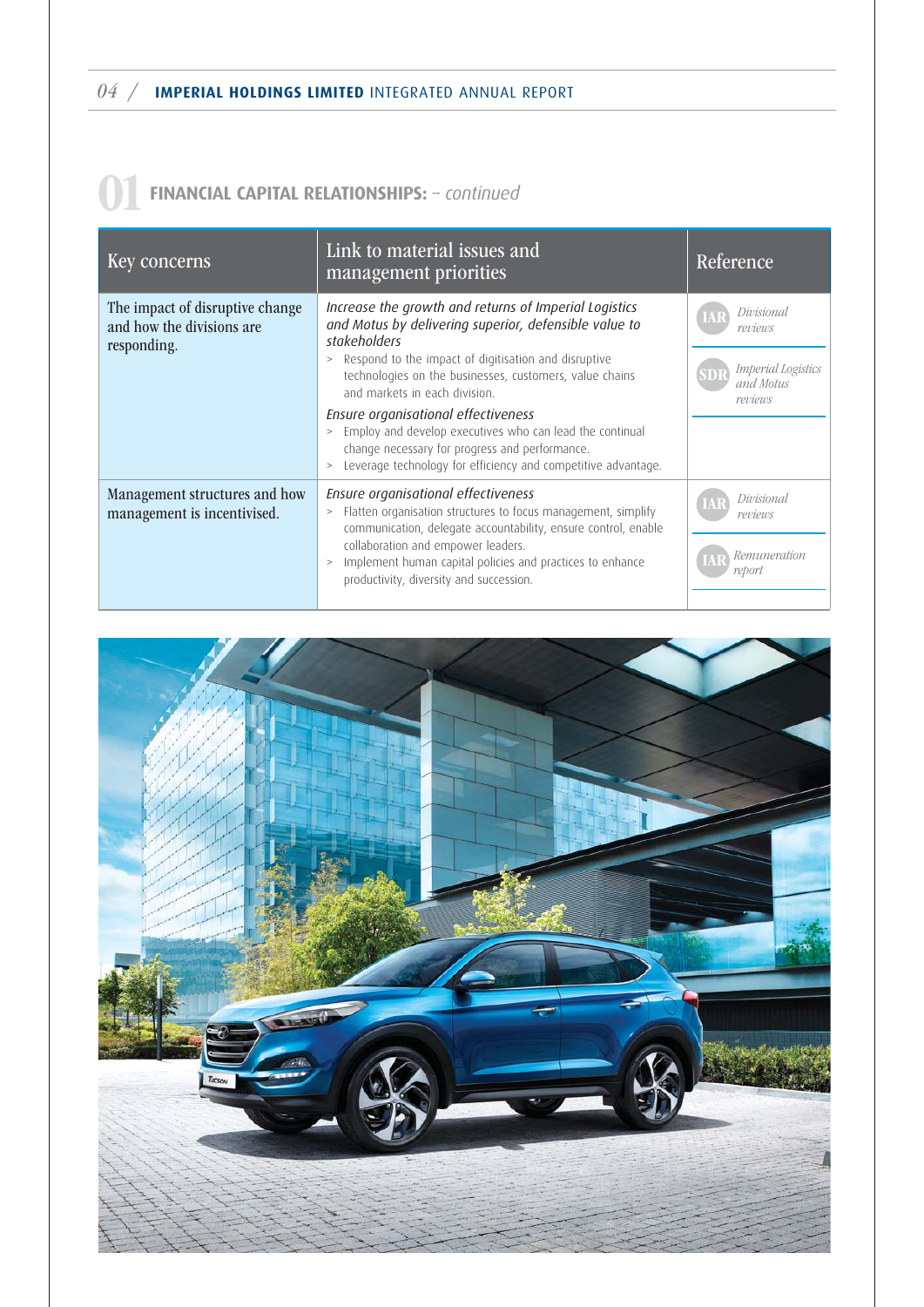| Key concerns                                                                | Link to material issues and<br>management priorities                                                                                                                                                                                                                                                                                                                                                                                                                                                                         | Reference                                                           |
|-----------------------------------------------------------------------------|------------------------------------------------------------------------------------------------------------------------------------------------------------------------------------------------------------------------------------------------------------------------------------------------------------------------------------------------------------------------------------------------------------------------------------------------------------------------------------------------------------------------------|---------------------------------------------------------------------|
| The impact of disruptive change<br>and how the divisions are<br>responding. | Increase the growth and returns of Imperial Logistics<br>and Motus by delivering superior, defensible value to<br>stakeholders<br>Respond to the impact of digitisation and disruptive<br>$\geq$<br>technologies on the businesses, customers, value chains<br>and markets in each division.<br>Ensure organisational effectiveness<br>Employ and develop executives who can lead the continual<br>change necessary for progress and performance.<br>Leverage technology for efficiency and competitive advantage.<br>$\geq$ | Divisional<br>reviews<br>Imperial Logistics<br>and Motus<br>reviews |
| Management structures and how<br>management is incentivised.                | Ensure organisational effectiveness<br>Flatten organisation structures to focus management, simplify<br>$\,>$<br>communication, delegate accountability, ensure control, enable<br>collaboration and empower leaders.<br>Implement human capital policies and practices to enhance<br>$\geq$<br>productivity, diversity and succession.                                                                                                                                                                                      | Divisional<br>reviews<br>Remuneration<br>report                     |

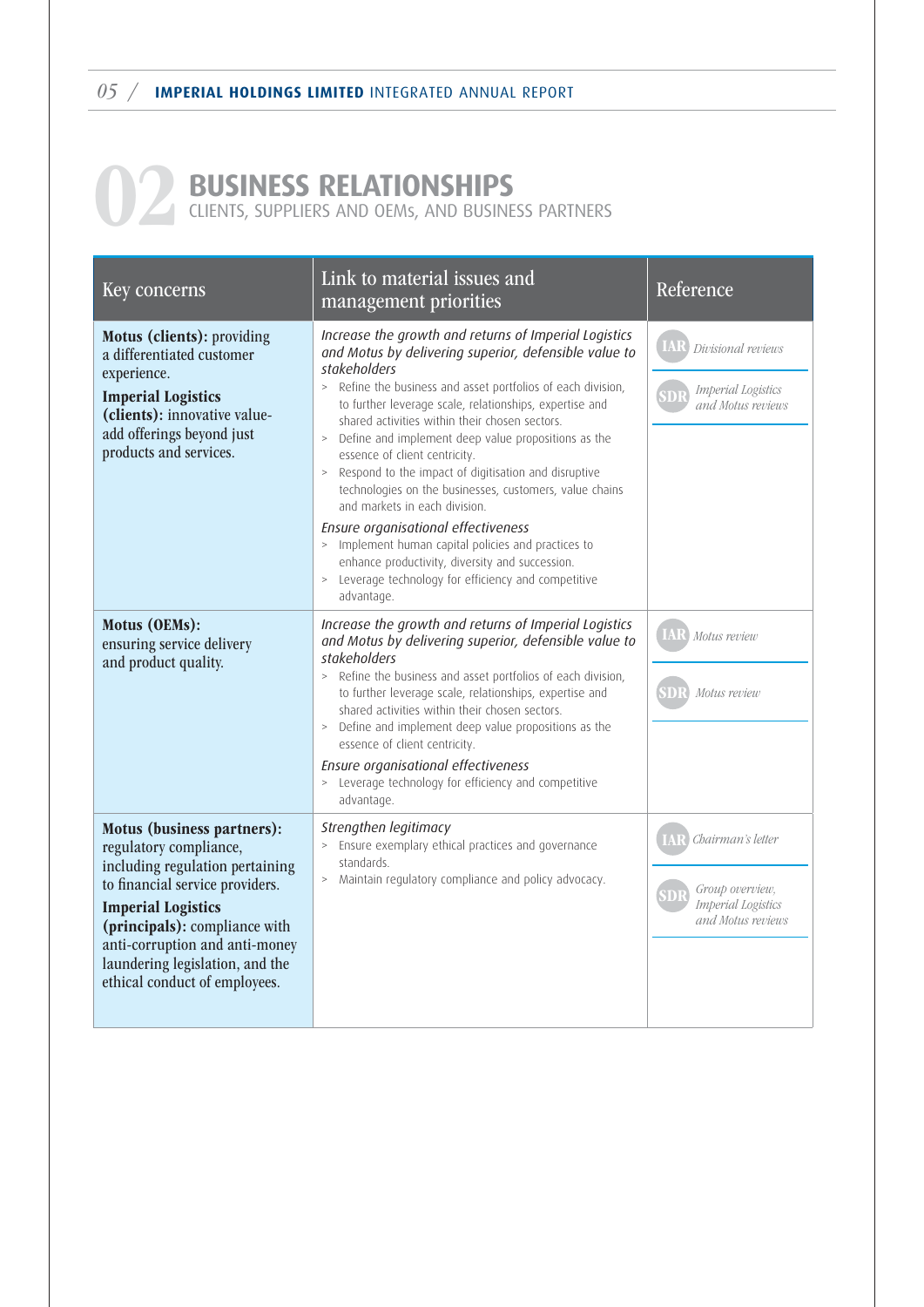# **D2 BUSINESS RELATIONSHIPS** CLIENTS, SUPPLIERS AND OEMS, AND BUSINE

CLIENTS, SUPPLIERS AND OEMs, AND BUSINESS PARTNERS

| Key concerns                                                                                                                                                                                                                                                                                   | Link to material issues and<br>management priorities                                                                                                                                                                                                                                                                                                                                                                                                                                                                                                                                                                                                                                                                                                                                               | Reference                                                                              |
|------------------------------------------------------------------------------------------------------------------------------------------------------------------------------------------------------------------------------------------------------------------------------------------------|----------------------------------------------------------------------------------------------------------------------------------------------------------------------------------------------------------------------------------------------------------------------------------------------------------------------------------------------------------------------------------------------------------------------------------------------------------------------------------------------------------------------------------------------------------------------------------------------------------------------------------------------------------------------------------------------------------------------------------------------------------------------------------------------------|----------------------------------------------------------------------------------------|
| Motus (clients): providing<br>a differentiated customer<br>experience.<br><b>Imperial Logistics</b><br>(clients): innovative value-<br>add offerings beyond just<br>products and services.                                                                                                     | Increase the growth and returns of Imperial Logistics<br>and Motus by delivering superior, defensible value to<br>stakeholders<br>> Refine the business and asset portfolios of each division,<br>to further leverage scale, relationships, expertise and<br>shared activities within their chosen sectors.<br>Define and implement deep value propositions as the<br>$\, >$<br>essence of client centricity.<br>Respond to the impact of digitisation and disruptive<br>$\, >$<br>technologies on the businesses, customers, value chains<br>and markets in each division.<br>Ensure organisational effectiveness<br>> Implement human capital policies and practices to<br>enhance productivity, diversity and succession.<br>> Leverage technology for efficiency and competitive<br>advantage. | IAR<br>Divisional reviews<br><b>Imperial Logistics</b><br>and Motus reviews            |
| Motus (OEMs):<br>ensuring service delivery<br>and product quality.                                                                                                                                                                                                                             | Increase the growth and returns of Imperial Logistics<br>and Motus by delivering superior, defensible value to<br>stakeholders<br>Refine the business and asset portfolios of each division,<br>$\geq$<br>to further leverage scale, relationships, expertise and<br>shared activities within their chosen sectors.<br>Define and implement deep value propositions as the<br>$\, > \,$<br>essence of client centricity.<br>Ensure organisational effectiveness<br>> Leverage technology for efficiency and competitive<br>advantage.                                                                                                                                                                                                                                                              | Motus review<br>Motus review                                                           |
| Motus (business partners):<br>regulatory compliance,<br>including regulation pertaining<br>to financial service providers.<br><b>Imperial Logistics</b><br>(principals): compliance with<br>anti-corruption and anti-money<br>laundering legislation, and the<br>ethical conduct of employees. | Strengthen legitimacy<br>Ensure exemplary ethical practices and governance<br>standards.<br>> Maintain regulatory compliance and policy advocacy.                                                                                                                                                                                                                                                                                                                                                                                                                                                                                                                                                                                                                                                  | Chairman's letter<br>Group overview,<br><b>Imperial</b> Logistics<br>and Motus reviews |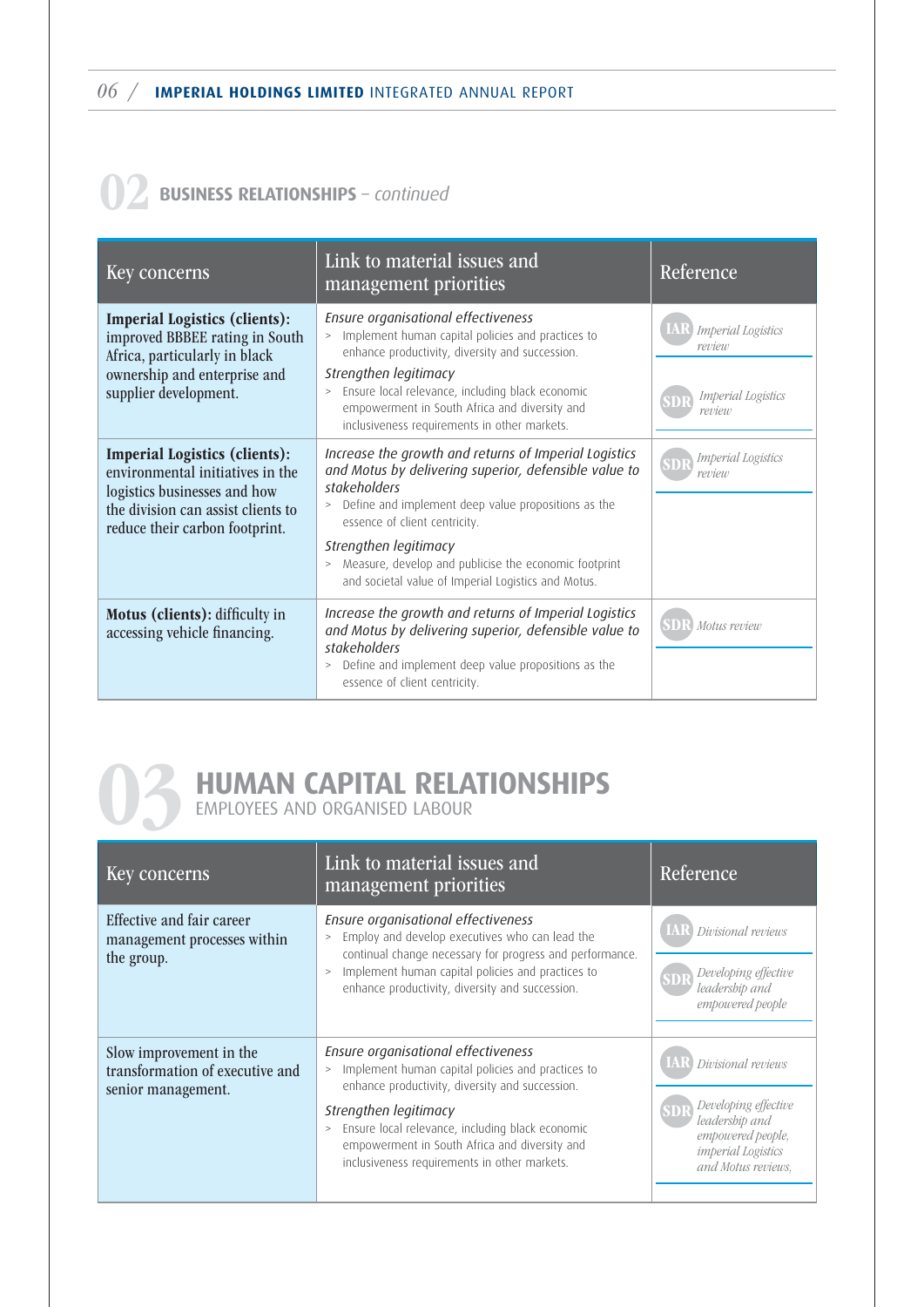### 02 **BUSINESS RELATIONSHIPS** – *continued*

| Key concerns                                                                                                                                                                     | Link to material issues and<br>management priorities                                                                                                                                                                                                                                                                                                                      | Reference                                                           |
|----------------------------------------------------------------------------------------------------------------------------------------------------------------------------------|---------------------------------------------------------------------------------------------------------------------------------------------------------------------------------------------------------------------------------------------------------------------------------------------------------------------------------------------------------------------------|---------------------------------------------------------------------|
| <b>Imperial Logistics (clients):</b><br>improved BBBEE rating in South<br>Africa, particularly in black<br>ownership and enterprise and<br>supplier development.                 | Ensure organisational effectiveness<br>Implement human capital policies and practices to<br>$\geq$<br>enhance productivity, diversity and succession.<br>Strengthen legitimacy<br>Ensure local relevance, including black economic<br>$\geq$<br>empowerment in South Africa and diversity and<br>inclusiveness requirements in other markets.                             | Imperial Logistics<br>review<br><b>Imperial Logistics</b><br>review |
| <b>Imperial Logistics (clients):</b><br>environmental initiatives in the<br>logistics businesses and how<br>the division can assist clients to<br>reduce their carbon footprint. | Increase the growth and returns of Imperial Logistics<br>and Motus by delivering superior, defensible value to<br>stakeholders<br>Define and implement deep value propositions as the<br>$\geq$<br>essence of client centricity.<br>Strengthen legitimacy<br>Measure, develop and publicise the economic footprint<br>and societal value of Imperial Logistics and Motus. | <b>Imperial Logistics</b><br>review                                 |
| Motus (clients): difficulty in<br>accessing vehicle financing.                                                                                                                   | Increase the growth and returns of Imperial Logistics<br>and Motus by delivering superior, defensible value to<br>stakeholders<br>Define and implement deep value propositions as the<br>$\geq$<br>essence of client centricity.                                                                                                                                          | Motus review                                                        |

# **03 HUMAN CAPITAL RELATIONSHIPS**<br>EMPLOYEES AND ORGANISED LABOUR

EMPLOYEES AND ORGANISED LABOUR

| Key concerns                                                                     | Link to material issues and<br>management priorities                                                                                                                                                                                                                                                                        | Reference                                                                                                                                       |
|----------------------------------------------------------------------------------|-----------------------------------------------------------------------------------------------------------------------------------------------------------------------------------------------------------------------------------------------------------------------------------------------------------------------------|-------------------------------------------------------------------------------------------------------------------------------------------------|
| Effective and fair career<br>management processes within<br>the group.           | Ensure organisational effectiveness<br>Employ and develop executives who can lead the<br>$\geq$<br>continual change necessary for progress and performance.<br>Implement human capital policies and practices to<br>enhance productivity, diversity and succession.                                                         | <b>IAR</b><br>Divisional reviews<br>Developing effective<br>leadership and<br>empowered people                                                  |
| Slow improvement in the<br>transformation of executive and<br>senior management. | Ensure organisational effectiveness<br>Implement human capital policies and practices to<br>enhance productivity, diversity and succession.<br>Strengthen legitimacy<br>> Ensure local relevance, including black economic<br>empowerment in South Africa and diversity and<br>inclusiveness requirements in other markets. | <b>IAR</b> Divisional reviews<br>Developing effective<br>leadership and<br>empowered people,<br><i>imperial</i> Logistics<br>and Motus reviews. |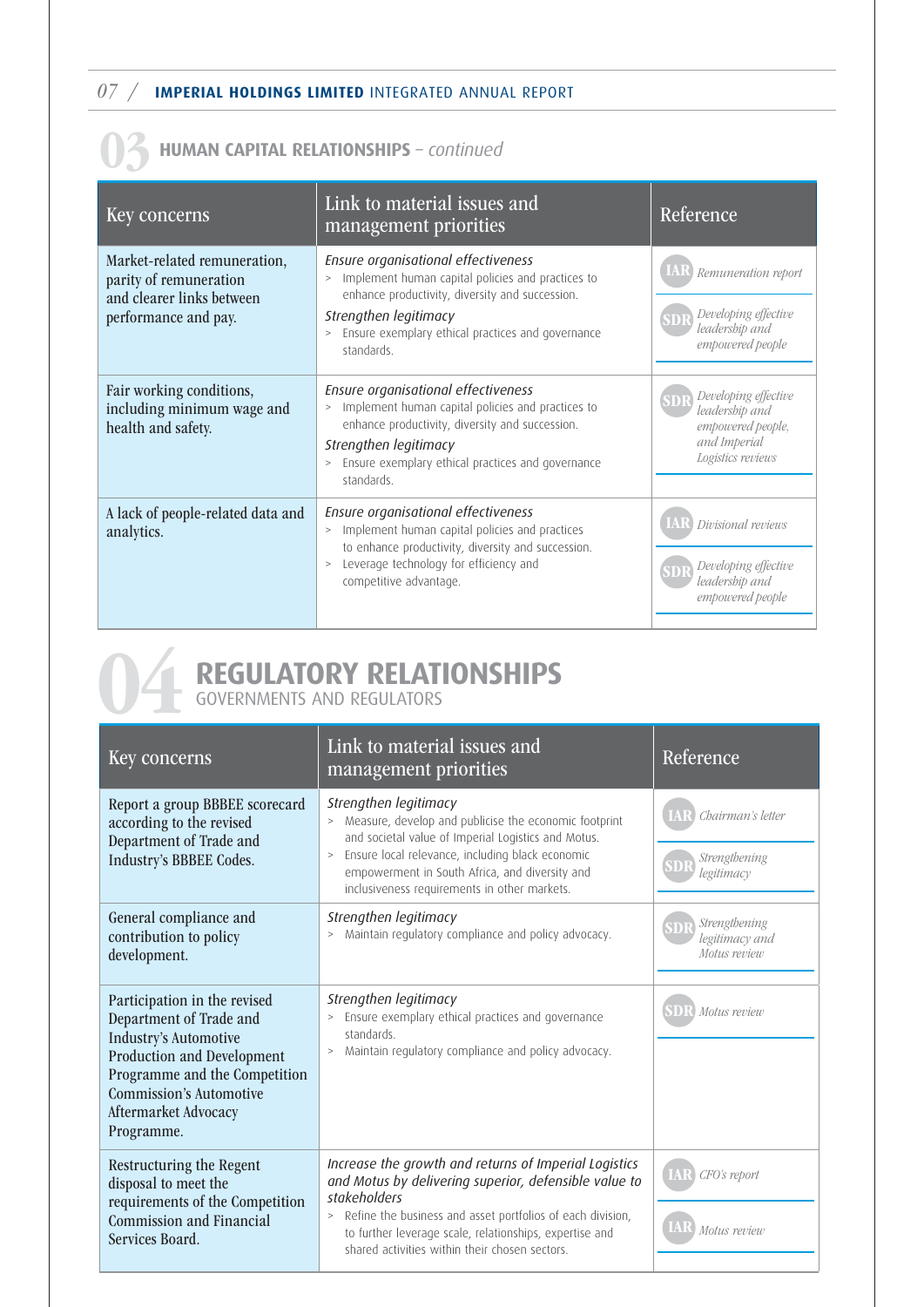07 / **IMPERIAL HOLDINGS LIMITED** INTEGRATED ANNUAL REPORT

#### 03 **HUMAN CAPITAL RELATIONSHIPS** – *continued*

| Key concerns                                                                                                | Link to material issues and<br>management priorities                                                                                                                                                                                                        | Reference                                                                                        |
|-------------------------------------------------------------------------------------------------------------|-------------------------------------------------------------------------------------------------------------------------------------------------------------------------------------------------------------------------------------------------------------|--------------------------------------------------------------------------------------------------|
| Market-related remuneration,<br>parity of remuneration<br>and clearer links between<br>performance and pay. | Ensure organisational effectiveness<br>Implement human capital policies and practices to<br>$\geq$<br>enhance productivity, diversity and succession.<br>Strengthen legitimacy<br>Ensure exemplary ethical practices and governance<br>$\, >$<br>standards. | Remuneration report<br>Developing effective<br>leadership and<br>empowered people                |
| Fair working conditions,<br>including minimum wage and<br>health and safety.                                | Ensure organisational effectiveness<br>Implement human capital policies and practices to<br>><br>enhance productivity, diversity and succession.<br>Strengthen legitimacy<br>Ensure exemplary ethical practices and governance<br>$\, >$<br>standards.      | Developing effective<br>leadership and<br>empowered people,<br>and Imperial<br>Logistics reviews |
| A lack of people-related data and<br>analytics.                                                             | Ensure organisational effectiveness<br>Implement human capital policies and practices<br>$\geq$<br>to enhance productivity, diversity and succession.<br>Leverage technology for efficiency and<br>$\geq$<br>competitive advantage.                         | Divisional reviews<br>Developing effective<br>leadership and<br>empowered people                 |

**124 REGULATORY RELATIONSHIPS**<br> **COVERNMENTS AND REGULATORS** GOVERNMENTS AND REGULATORS

| Key concerns                                                                                                                                                                                                                   | Link to material issues and<br>management priorities                                                                                                                                                                                                                                                           | Reference                                        |
|--------------------------------------------------------------------------------------------------------------------------------------------------------------------------------------------------------------------------------|----------------------------------------------------------------------------------------------------------------------------------------------------------------------------------------------------------------------------------------------------------------------------------------------------------------|--------------------------------------------------|
| Report a group BBBEE scorecard<br>according to the revised<br>Department of Trade and<br>Industry's BBBEE Codes.                                                                                                               | Strengthen legitimacy<br>Measure, develop and publicise the economic footprint<br>><br>and societal value of Imperial Logistics and Motus.<br>Ensure local relevance, including black economic<br>$\, >$<br>empowerment in South Africa, and diversity and<br>inclusiveness requirements in other markets.     | Chairman's letter<br>Strengthening<br>legitimacy |
| General compliance and<br>contribution to policy<br>development.                                                                                                                                                               | Strengthen legitimacy<br>Maintain regulatory compliance and policy advocacy.<br>$\geq$                                                                                                                                                                                                                         | Strengthening<br>legitimacy and<br>Motus review  |
| Participation in the revised<br>Department of Trade and<br><b>Industry's Automotive</b><br>Production and Development<br>Programme and the Competition<br><b>Commission's Automotive</b><br>Aftermarket Advocacy<br>Programme. | Strengthen legitimacy<br>Ensure exemplary ethical practices and governance<br>$\, >$<br>standards.<br>Maintain regulatory compliance and policy advocacy.<br>$\, >$                                                                                                                                            | Motus review                                     |
| Restructuring the Regent<br>disposal to meet the<br>requirements of the Competition<br><b>Commission and Financial</b><br>Services Board.                                                                                      | Increase the growth and returns of Imperial Logistics<br>and Motus by delivering superior, defensible value to<br>stakeholders<br>Refine the business and asset portfolios of each division,<br>><br>to further leverage scale, relationships, expertise and<br>shared activities within their chosen sectors. | CFO's report<br>Motus review                     |